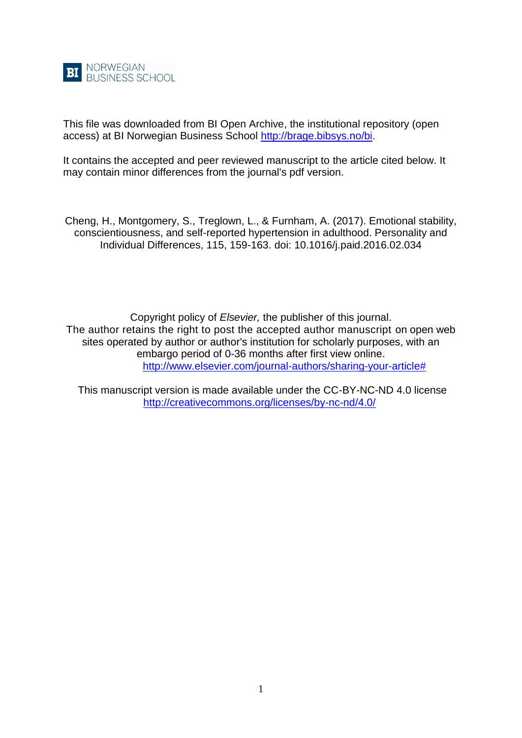

This file was downloaded from BI Open Archive, the institutional repository (open access) at BI Norwegian Business School [http://brage.bibsys.no/bi.](http://brage.bibsys.no/bi)

It contains the accepted and peer reviewed manuscript to the article cited below. It may contain minor differences from the journal's pdf version.

Cheng, H., Montgomery, S., Treglown, L., & Furnham, A. (2017). Emotional stability, conscientiousness, and self-reported hypertension in adulthood. Personality and Individual Differences, 115, 159-163. doi: 10.1016/j.paid.2016.02.034

Copyright policy of *Elsevier,* the publisher of this journal. The author retains the right to post the accepted author manuscript on open web sites operated by author or author's institution for scholarly purposes, with an embargo period of 0-36 months after first view online. [http://www.elsevier.com/journal-authors/sharing-your-article#](http://www.elsevier.com/journal-authors/sharing-your-article)

This manuscript version is made available under the CC-BY-NC-ND 4.0 license <http://creativecommons.org/licenses/by-nc-nd/4.0/>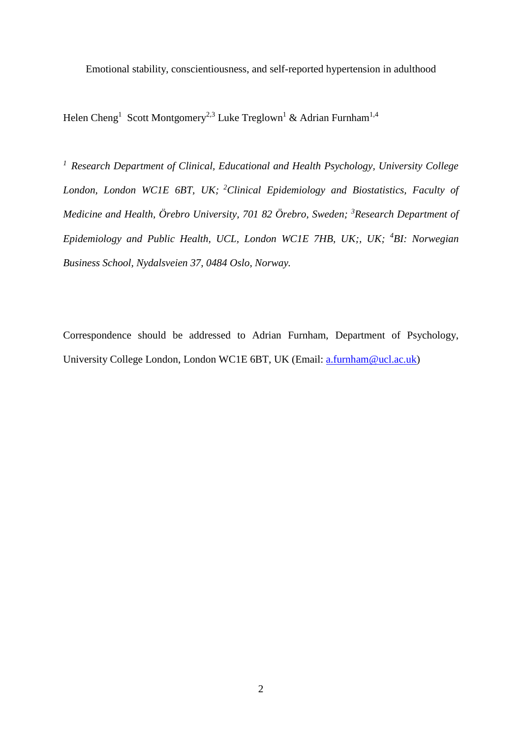Emotional stability, conscientiousness, and self-reported hypertension in adulthood

Helen Cheng<sup>1</sup> Scott Montgomery<sup>2,3</sup> Luke Treglown<sup>1</sup> & Adrian Furnham<sup>1,4</sup>

*<sup>1</sup>Research Department of Clinical, Educational and Health Psychology, University College London, London WC1E 6BT, UK; <sup>2</sup>Clinical Epidemiology and Biostatistics, Faculty of Medicine and Health, Örebro University, 701 82 Örebro, Sweden; <sup>3</sup>Research Department of Epidemiology and Public Health, UCL, London WC1E 7HB, UK;, UK; <sup>4</sup>BI: Norwegian Business School, Nydalsveien 37, 0484 Oslo, Norway.*

Correspondence should be addressed to Adrian Furnham, Department of Psychology, University College London, London WC1E 6BT, UK (Email: [a.furnham@ucl.ac.uk\)](mailto:a.furnham@ucl.ac.uk)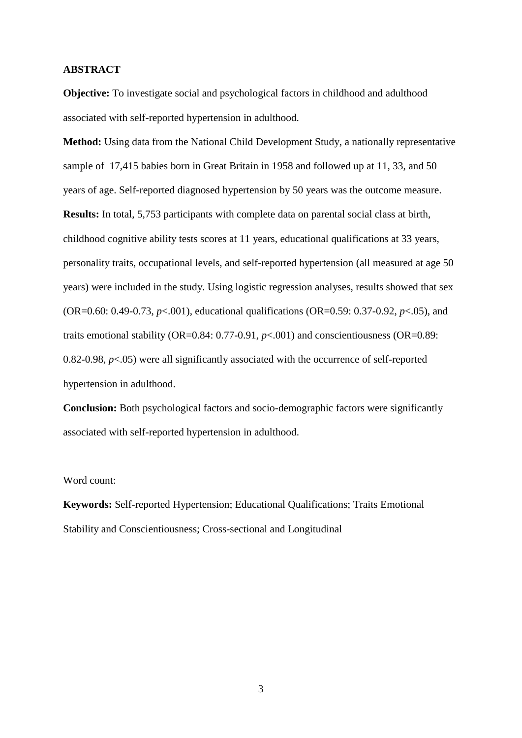## **ABSTRACT**

**Objective:** To investigate social and psychological factors in childhood and adulthood associated with self-reported hypertension in adulthood.

**Method:** Using data from the National Child Development Study, a nationally representative sample of 17,415 babies born in Great Britain in 1958 and followed up at 11, 33, and 50 years of age. Self-reported diagnosed hypertension by 50 years was the outcome measure. **Results:** In total, 5,753 participants with complete data on parental social class at birth, childhood cognitive ability tests scores at 11 years, educational qualifications at 33 years, personality traits, occupational levels, and self-reported hypertension (all measured at age 50 years) were included in the study. Using logistic regression analyses, results showed that sex (OR=0.60: 0.49-0.73, *p*<.001), educational qualifications (OR=0.59: 0.37-0.92, *p*<.05), and traits emotional stability (OR=0.84:  $0.77-0.91$ ,  $p<.001$ ) and conscientiousness (OR=0.89: 0.82-0.98,  $p<.05$ ) were all significantly associated with the occurrence of self-reported hypertension in adulthood.

**Conclusion:** Both psychological factors and socio-demographic factors were significantly associated with self-reported hypertension in adulthood.

### Word count:

**Keywords:** Self-reported Hypertension; Educational Qualifications; Traits Emotional Stability and Conscientiousness; Cross-sectional and Longitudinal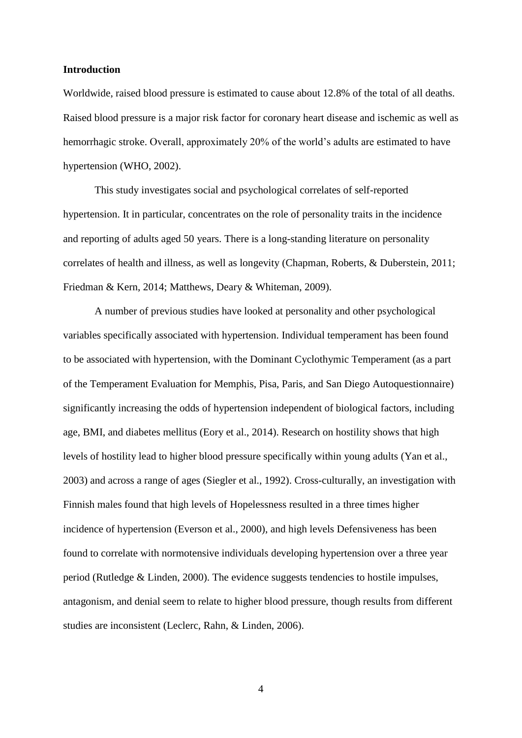### **Introduction**

Worldwide, raised blood pressure is estimated to cause about 12.8% of the total of all deaths. Raised blood pressure is a major risk factor for coronary heart disease and ischemic as well as hemorrhagic stroke. Overall, approximately 20% of the world's adults are estimated to have hypertension (WHO, 2002).

This study investigates social and psychological correlates of self-reported hypertension. It in particular, concentrates on the role of personality traits in the incidence and reporting of adults aged 50 years. There is a long-standing literature on personality correlates of health and illness, as well as longevity (Chapman, Roberts, & Duberstein, 2011; Friedman & Kern, 2014; Matthews, Deary & Whiteman, 2009).

A number of previous studies have looked at personality and other psychological variables specifically associated with hypertension. Individual temperament has been found to be associated with hypertension, with the Dominant Cyclothymic Temperament (as a part of the Temperament Evaluation for Memphis, Pisa, Paris, and San Diego Autoquestionnaire) significantly increasing the odds of hypertension independent of biological factors, including age, BMI, and diabetes mellitus (Eory et al., 2014). Research on hostility shows that high levels of hostility lead to higher blood pressure specifically within young adults (Yan et al., 2003) and across a range of ages (Siegler et al., 1992). Cross-culturally, an investigation with Finnish males found that high levels of Hopelessness resulted in a three times higher incidence of hypertension (Everson et al., 2000), and high levels Defensiveness has been found to correlate with normotensive individuals developing hypertension over a three year period (Rutledge & Linden, 2000). The evidence suggests tendencies to hostile impulses, antagonism, and denial seem to relate to higher blood pressure, though results from different studies are inconsistent (Leclerc, Rahn, & Linden, 2006).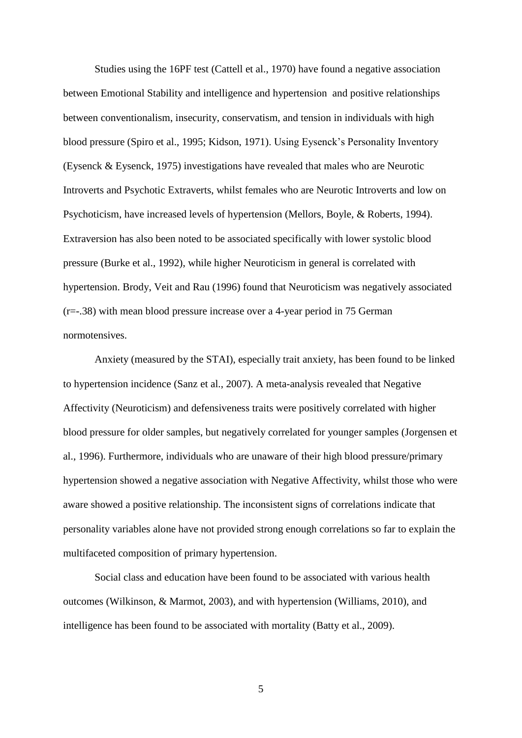Studies using the 16PF test (Cattell et al., 1970) have found a negative association between Emotional Stability and intelligence and hypertension and positive relationships between conventionalism, insecurity, conservatism, and tension in individuals with high blood pressure (Spiro et al., 1995; Kidson, 1971). Using Eysenck's Personality Inventory (Eysenck & Eysenck, 1975) investigations have revealed that males who are Neurotic Introverts and Psychotic Extraverts, whilst females who are Neurotic Introverts and low on Psychoticism, have increased levels of hypertension (Mellors, Boyle, & Roberts, 1994). Extraversion has also been noted to be associated specifically with lower systolic blood pressure (Burke et al., 1992), while higher Neuroticism in general is correlated with hypertension. Brody, Veit and Rau (1996) found that Neuroticism was negatively associated (r=-.38) with mean blood pressure increase over a 4-year period in 75 German normotensives.

Anxiety (measured by the STAI), especially trait anxiety, has been found to be linked to hypertension incidence (Sanz et al., 2007). A meta-analysis revealed that Negative Affectivity (Neuroticism) and defensiveness traits were positively correlated with higher blood pressure for older samples, but negatively correlated for younger samples (Jorgensen et al., 1996). Furthermore, individuals who are unaware of their high blood pressure/primary hypertension showed a negative association with Negative Affectivity, whilst those who were aware showed a positive relationship. The inconsistent signs of correlations indicate that personality variables alone have not provided strong enough correlations so far to explain the multifaceted composition of primary hypertension.

Social class and education have been found to be associated with various health outcomes (Wilkinson, & Marmot, 2003), and with hypertension (Williams, 2010), and intelligence has been found to be associated with mortality (Batty et al., 2009).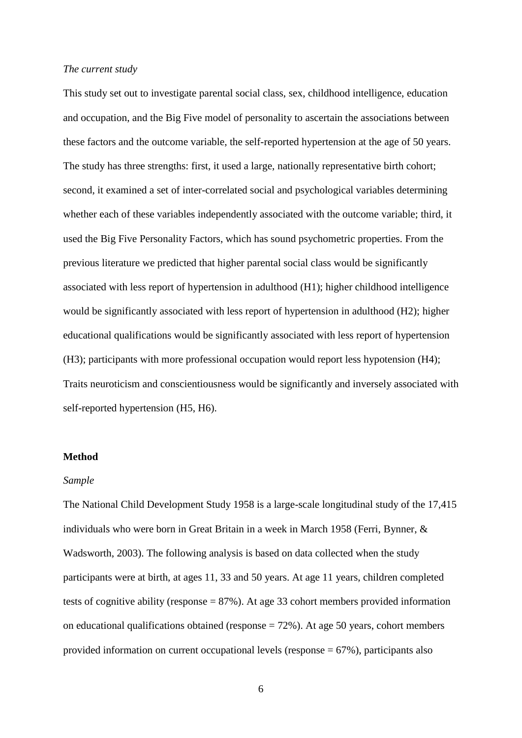#### *The current study*

This study set out to investigate parental social class, sex, childhood intelligence, education and occupation, and the Big Five model of personality to ascertain the associations between these factors and the outcome variable, the self-reported hypertension at the age of 50 years. The study has three strengths: first, it used a large, nationally representative birth cohort; second, it examined a set of inter-correlated social and psychological variables determining whether each of these variables independently associated with the outcome variable; third, it used the Big Five Personality Factors, which has sound psychometric properties. From the previous literature we predicted that higher parental social class would be significantly associated with less report of hypertension in adulthood (H1); higher childhood intelligence would be significantly associated with less report of hypertension in adulthood (H2); higher educational qualifications would be significantly associated with less report of hypertension (H3); participants with more professional occupation would report less hypotension (H4); Traits neuroticism and conscientiousness would be significantly and inversely associated with self-reported hypertension (H5, H6).

# **Method**

### *Sample*

The National Child Development Study 1958 is a large-scale longitudinal study of the 17,415 individuals who were born in Great Britain in a week in March 1958 (Ferri, Bynner, & Wadsworth, 2003). The following analysis is based on data collected when the study participants were at birth, at ages 11, 33 and 50 years. At age 11 years, children completed tests of cognitive ability (response = 87%). At age 33 cohort members provided information on educational qualifications obtained (response = 72%). At age 50 years, cohort members provided information on current occupational levels (response = 67%), participants also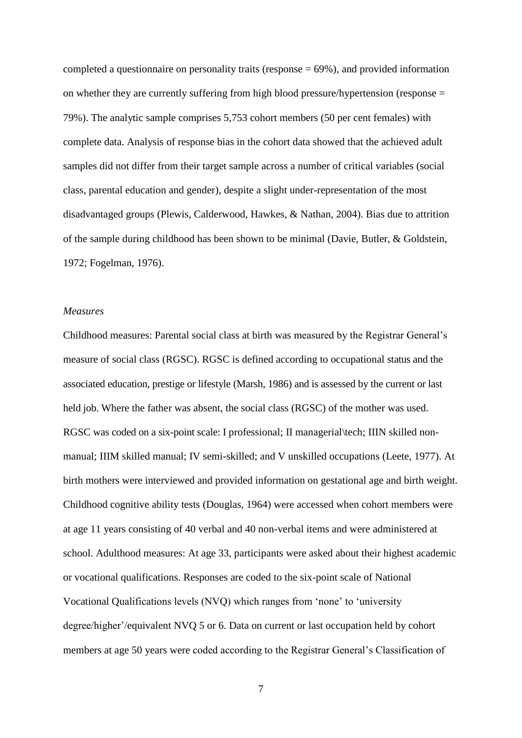completed a questionnaire on personality traits (response  $= 69\%$ ), and provided information on whether they are currently suffering from high blood pressure/hypertension (response = 79%). The analytic sample comprises 5,753 cohort members (50 per cent females) with complete data. Analysis of response bias in the cohort data showed that the achieved adult samples did not differ from their target sample across a number of critical variables (social class, parental education and gender), despite a slight under-representation of the most disadvantaged groups (Plewis, Calderwood, Hawkes, & Nathan, 2004). Bias due to attrition of the sample during childhood has been shown to be minimal (Davie, Butler, & Goldstein, 1972; Fogelman, 1976).

# *Measures*

Childhood measures: Parental social class at birth was measured by the Registrar General's measure of social class (RGSC). RGSC is defined according to occupational status and the associated education, prestige or lifestyle (Marsh, 1986) and is assessed by the current or last held job. Where the father was absent, the social class (RGSC) of the mother was used. RGSC was coded on a six-point scale: I professional; II managerial\tech; IIIN skilled nonmanual; IIIM skilled manual; IV semi-skilled; and V unskilled occupations (Leete, 1977). At birth mothers were interviewed and provided information on gestational age and birth weight. Childhood cognitive ability tests (Douglas, 1964) were accessed when cohort members were at age 11 years consisting of 40 verbal and 40 non-verbal items and were administered at school. Adulthood measures: At age 33, participants were asked about their highest academic or vocational qualifications. Responses are coded to the six-point scale of National Vocational Qualifications levels (NVQ) which ranges from 'none' to 'university degree/higher'/equivalent NVQ 5 or 6. Data on current or last occupation held by cohort members at age 50 years were coded according to the Registrar General's Classification of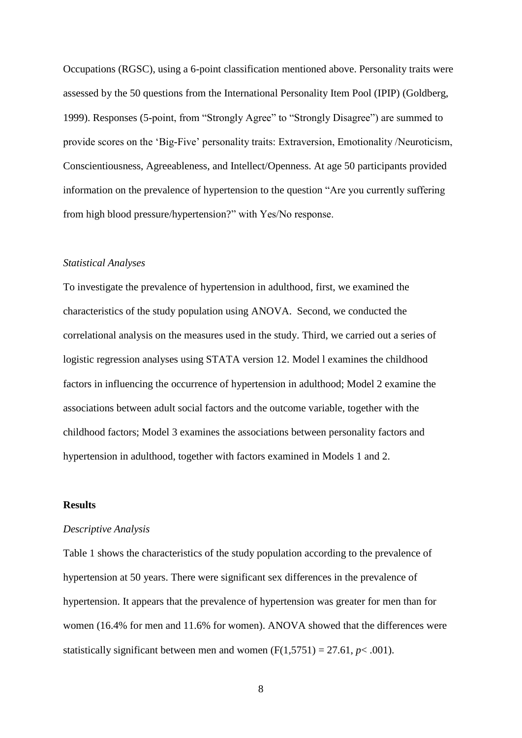Occupations (RGSC), using a 6-point classification mentioned above. Personality traits were assessed by the 50 questions from the International Personality Item Pool (IPIP) (Goldberg, 1999). Responses (5-point, from "Strongly Agree" to "Strongly Disagree") are summed to provide scores on the 'Big-Five' personality traits: Extraversion, Emotionality /Neuroticism, Conscientiousness, Agreeableness, and Intellect/Openness. At age 50 participants provided information on the prevalence of hypertension to the question "Are you currently suffering from high blood pressure/hypertension?" with Yes/No response.

# *Statistical Analyses*

To investigate the prevalence of hypertension in adulthood, first, we examined the characteristics of the study population using ANOVA. Second, we conducted the correlational analysis on the measures used in the study. Third, we carried out a series of logistic regression analyses using STATA version 12. Model l examines the childhood factors in influencing the occurrence of hypertension in adulthood; Model 2 examine the associations between adult social factors and the outcome variable, together with the childhood factors; Model 3 examines the associations between personality factors and hypertension in adulthood, together with factors examined in Models 1 and 2.

# **Results**

#### *Descriptive Analysis*

Table 1 shows the characteristics of the study population according to the prevalence of hypertension at 50 years. There were significant sex differences in the prevalence of hypertension. It appears that the prevalence of hypertension was greater for men than for women (16.4% for men and 11.6% for women). ANOVA showed that the differences were statistically significant between men and women  $(F(1,5751) = 27.61, p < .001)$ .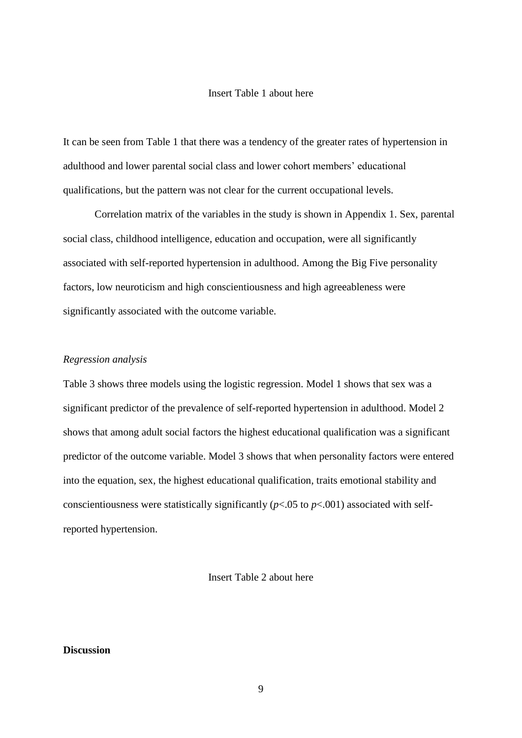# Insert Table 1 about here

It can be seen from Table 1 that there was a tendency of the greater rates of hypertension in adulthood and lower parental social class and lower cohort members' educational qualifications, but the pattern was not clear for the current occupational levels.

Correlation matrix of the variables in the study is shown in Appendix 1. Sex, parental social class, childhood intelligence, education and occupation, were all significantly associated with self-reported hypertension in adulthood. Among the Big Five personality factors, low neuroticism and high conscientiousness and high agreeableness were significantly associated with the outcome variable.

# *Regression analysis*

Table 3 shows three models using the logistic regression. Model 1 shows that sex was a significant predictor of the prevalence of self-reported hypertension in adulthood. Model 2 shows that among adult social factors the highest educational qualification was a significant predictor of the outcome variable. Model 3 shows that when personality factors were entered into the equation, sex, the highest educational qualification, traits emotional stability and conscientiousness were statistically significantly (*p*<.05 to *p*<.001) associated with selfreported hypertension.

# Insert Table 2 about here

# **Discussion**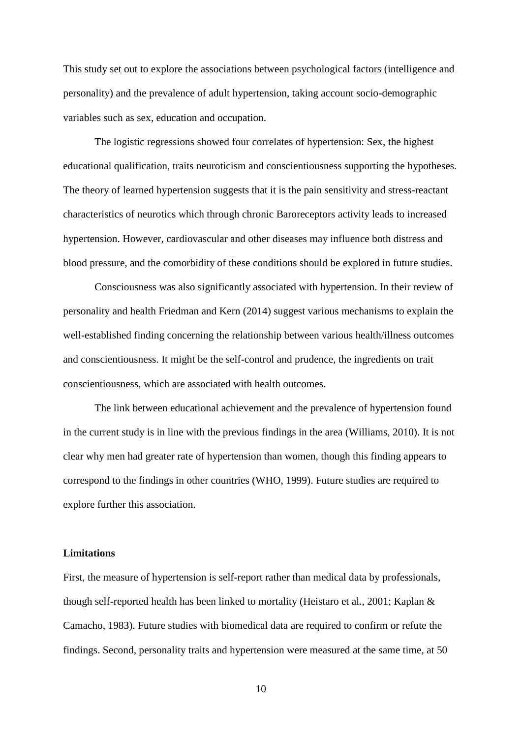This study set out to explore the associations between psychological factors (intelligence and personality) and the prevalence of adult hypertension, taking account socio-demographic variables such as sex, education and occupation.

The logistic regressions showed four correlates of hypertension: Sex, the highest educational qualification, traits neuroticism and conscientiousness supporting the hypotheses. The theory of learned hypertension suggests that it is the pain sensitivity and stress-reactant characteristics of neurotics which through chronic Baroreceptors activity leads to increased hypertension. However, cardiovascular and other diseases may influence both distress and blood pressure, and the comorbidity of these conditions should be explored in future studies.

Consciousness was also significantly associated with hypertension. In their review of personality and health Friedman and Kern (2014) suggest various mechanisms to explain the well-established finding concerning the relationship between various health/illness outcomes and conscientiousness. It might be the self-control and prudence, the ingredients on trait conscientiousness, which are associated with health outcomes.

The link between educational achievement and the prevalence of hypertension found in the current study is in line with the previous findings in the area (Williams, 2010). It is not clear why men had greater rate of hypertension than women, though this finding appears to correspond to the findings in other countries (WHO, 1999). Future studies are required to explore further this association.

# **Limitations**

First, the measure of hypertension is self-report rather than medical data by professionals, though self-reported health has been linked to mortality (Heistaro et al., 2001; Kaplan & Camacho, 1983). Future studies with biomedical data are required to confirm or refute the findings. Second, personality traits and hypertension were measured at the same time, at 50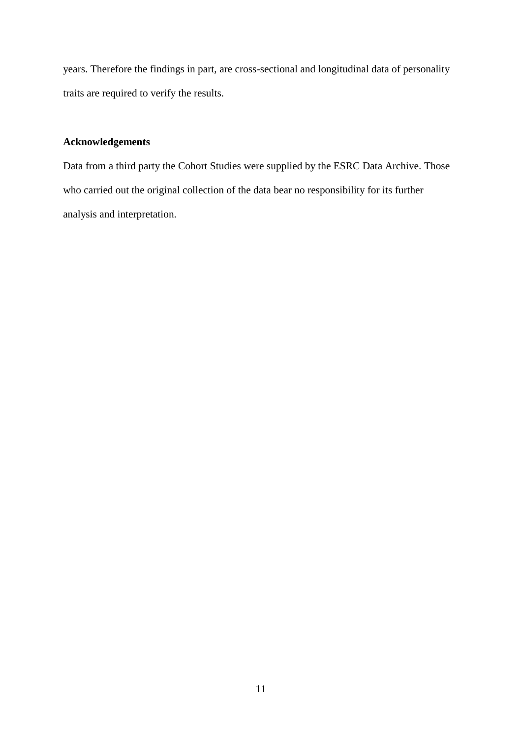years. Therefore the findings in part, are cross-sectional and longitudinal data of personality traits are required to verify the results.

# **Acknowledgements**

Data from a third party the Cohort Studies were supplied by the ESRC Data Archive. Those who carried out the original collection of the data bear no responsibility for its further analysis and interpretation.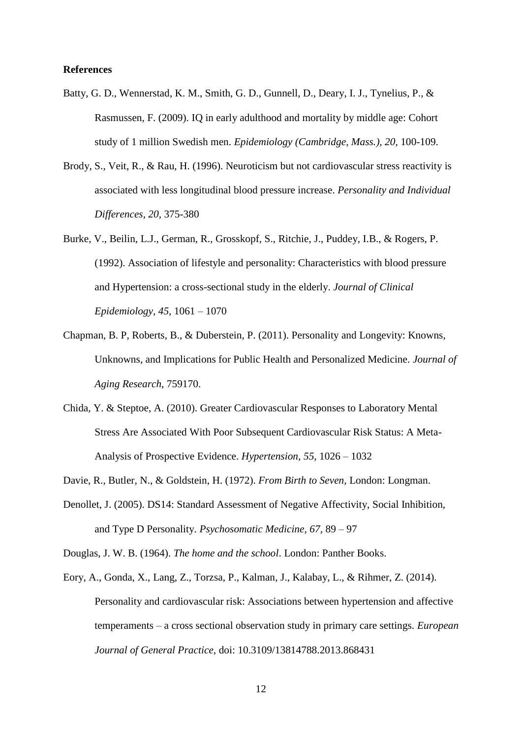# **References**

- Batty, G. D., Wennerstad, K. M., Smith, G. D., Gunnell, D., Deary, I. J., Tynelius, P., & Rasmussen, F. (2009). IQ in early adulthood and mortality by middle age: Cohort study of 1 million Swedish men. *Epidemiology (Cambridge, Mass.), 20*, 100-109.
- Brody, S., Veit, R., & Rau, H. (1996). Neuroticism but not cardiovascular stress reactivity is associated with less longitudinal blood pressure increase. *Personality and Individual Differences, 20,* 375-380
- Burke, V., Beilin, L.J., German, R., Grosskopf, S., Ritchie, J., Puddey, I.B., & Rogers, P. (1992). Association of lifestyle and personality: Characteristics with blood pressure and Hypertension: a cross-sectional study in the elderly. *Journal of Clinical Epidemiology, 45,* 1061 – 1070
- Chapman, B. P, Roberts, B., & Duberstein, P. (2011). Personality and Longevity: Knowns, Unknowns, and Implications for Public Health and Personalized Medicine. *Journal of Aging Research*, 759170.
- Chida, Y. & Steptoe, A. (2010). Greater Cardiovascular Responses to Laboratory Mental Stress Are Associated With Poor Subsequent Cardiovascular Risk Status: A Meta-Analysis of Prospective Evidence. *Hypertension, 55,* 1026 – 1032
- Davie, R., Butler, N., & Goldstein, H. (1972). *From Birth to Seven,* London: Longman.
- Denollet, J. (2005). DS14: Standard Assessment of Negative Affectivity, Social Inhibition, and Type D Personality. *Psychosomatic Medicine, 67,* 89 – 97

Douglas, J. W. B. (1964). *The home and the school*. London: Panther Books.

Eory, A., Gonda, X., Lang, Z., Torzsa, P., Kalman, J., Kalabay, L., & Rihmer, Z. (2014). Personality and cardiovascular risk: Associations between hypertension and affective temperaments – a cross sectional observation study in primary care settings. *European Journal of General Practice,* doi: 10.3109/13814788.2013.868431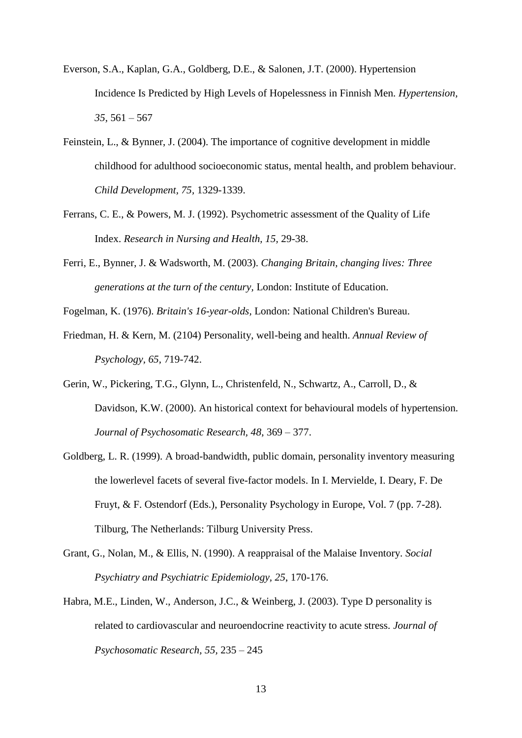- Everson, S.A., Kaplan, G.A., Goldberg, D.E., & Salonen, J.T. (2000). Hypertension Incidence Is Predicted by High Levels of Hopelessness in Finnish Men. *Hypertension, 35,* 561 – 567
- Feinstein, L., & Bynner, J. (2004). The importance of cognitive development in middle childhood for adulthood socioeconomic status, mental health, and problem behaviour. *Child Development, 75,* 1329-1339.
- Ferrans, C. E., & Powers, M. J. (1992). Psychometric assessment of the Quality of Life Index. *Research in Nursing and Health, 15,* 29-38.
- Ferri, E., Bynner, J. & Wadsworth, M. (2003). *Changing Britain, changing lives: Three generations at the turn of the century,* London: Institute of Education.

Fogelman, K. (1976). *Britain's 16-year-olds,* London: National Children's Bureau.

- Friedman, H. & Kern, M. (2104) Personality, well-being and health. *Annual Review of Psychology, 65,* 719-742.
- Gerin, W., Pickering, T.G., Glynn, L., Christenfeld, N., Schwartz, A., Carroll, D., & Davidson, K.W. (2000). An historical context for behavioural models of hypertension*. Journal of Psychosomatic Research, 48*, 369 – 377.
- Goldberg, L. R. (1999). A broad-bandwidth, public domain, personality inventory measuring the lowerlevel facets of several five-factor models. In I. Mervielde, I. Deary, F. De Fruyt, & F. Ostendorf (Eds.), Personality Psychology in Europe, Vol. 7 (pp. 7-28). Tilburg, The Netherlands: Tilburg University Press.
- Grant, G., Nolan, M., & Ellis, N. (1990). A reappraisal of the Malaise Inventory. *Social Psychiatry and Psychiatric Epidemiology, 25*, 170-176.
- Habra, M.E., Linden, W., Anderson, J.C., & Weinberg, J. (2003). Type D personality is related to cardiovascular and neuroendocrine reactivity to acute stress. *Journal of Psychosomatic Research, 55,* 235 – 245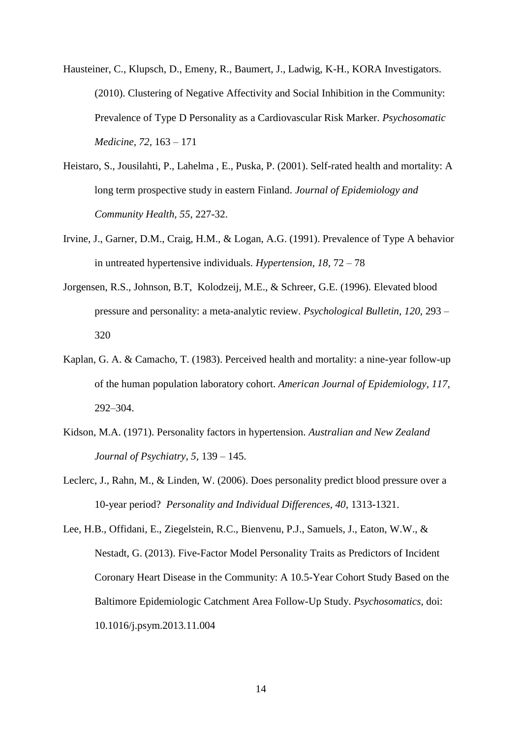- Hausteiner, C., Klupsch, D., Emeny, R., Baumert, J., Ladwig, K-H., KORA Investigators. (2010). Clustering of Negative Affectivity and Social Inhibition in the Community: Prevalence of Type D Personality as a Cardiovascular Risk Marker. *Psychosomatic Medicine, 72,* 163 – 171
- Heistaro, S., Jousilahti, P., Lahelma , E., Puska, P. (2001). Self-rated health and mortality: A long term prospective study in eastern Finland. *Journal of Epidemiology and Community Health, 55*, 227-32.
- Irvine, J., Garner, D.M., Craig, H.M., & Logan, A.G. (1991). Prevalence of Type A behavior in untreated hypertensive individuals. *Hypertension, 18,* 72 – 78
- Jorgensen, R.S., Johnson, B.T, Kolodzeij, M.E., & Schreer, G.E. (1996). Elevated blood pressure and personality: a meta-analytic review. *Psychological Bulletin, 120,* 293 – 320
- Kaplan, G. A. & Camacho, T. (1983). Perceived health and mortality: a nine-year follow-up of the human population laboratory cohort. *American Journal of Epidemiology, 117*, 292–304.
- Kidson, M.A. (1971). Personality factors in hypertension. *Australian and New Zealand Journal of Psychiatry, 5,* 139 – 145.
- Leclerc, J., Rahn, M., & Linden, W. (2006). Does personality predict blood pressure over a 10-year period? *Personality and Individual Differences, 40,* 1313-1321.
- Lee, H.B., Offidani, E., Ziegelstein, R.C., Bienvenu, P.J., Samuels, J., Eaton, W.W., & Nestadt, G. (2013). Five-Factor Model Personality Traits as Predictors of Incident Coronary Heart Disease in the Community: A 10.5-Year Cohort Study Based on the Baltimore Epidemiologic Catchment Area Follow-Up Study. *Psychosomatics,* doi: 10.1016/j.psym.2013.11.004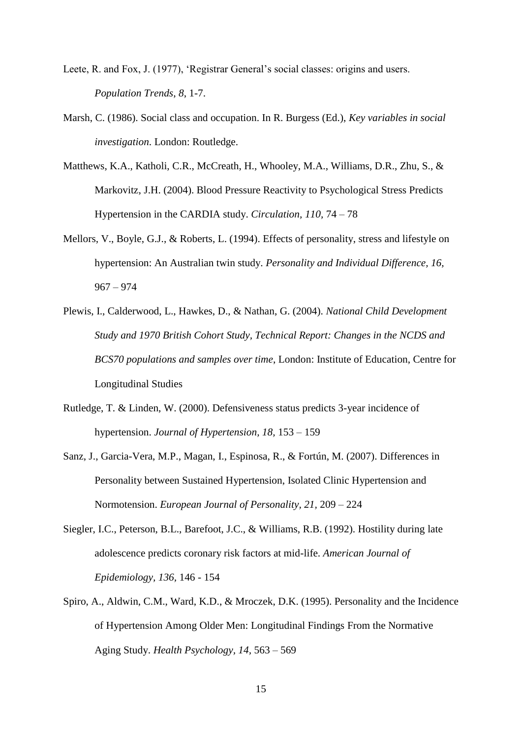- Leete, R. and Fox, J. (1977), 'Registrar General's social classes: origins and users. *Population Trends*, *8*, 1-7.
- Marsh, C. (1986). Social class and occupation. In R. Burgess (Ed.), *Key variables in social investigation*. London: Routledge.
- Matthews, K.A., Katholi, C.R., McCreath, H., Whooley, M.A., Williams, D.R., Zhu, S., & Markovitz, J.H. (2004). Blood Pressure Reactivity to Psychological Stress Predicts Hypertension in the CARDIA study. *Circulation, 110,* 74 – 78
- Mellors, V., Boyle, G.J., & Roberts, L. (1994). Effects of personality, stress and lifestyle on hypertension: An Australian twin study. *Personality and Individual Difference, 16,*  967 – 974
- Plewis, I., Calderwood, L., Hawkes, D., & Nathan, G. (2004). *National Child Development Study and 1970 British Cohort Study, Technical Report: Changes in the NCDS and BCS70 populations and samples over time*, London: Institute of Education, Centre for Longitudinal Studies
- Rutledge, T. & Linden, W. (2000). Defensiveness status predicts 3-year incidence of hypertension. *Journal of Hypertension, 18,* 153 – 159
- Sanz, J., Garcia-Vera, M.P., Magan, I., Espinosa, R., & Fortún, M. (2007). Differences in Personality between Sustained Hypertension, Isolated Clinic Hypertension and Normotension. *European Journal of Personality, 21,* 209 – 224
- Siegler, I.C., Peterson, B.L., Barefoot, J.C., & Williams, R.B. (1992). Hostility during late adolescence predicts coronary risk factors at mid-life. *American Journal of Epidemiology, 136,* 146 - 154
- Spiro, A., Aldwin, C.M., Ward, K.D., & Mroczek, D.K. (1995). Personality and the Incidence of Hypertension Among Older Men: Longitudinal Findings From the Normative Aging Study. *Health Psychology, 14,* 563 – 569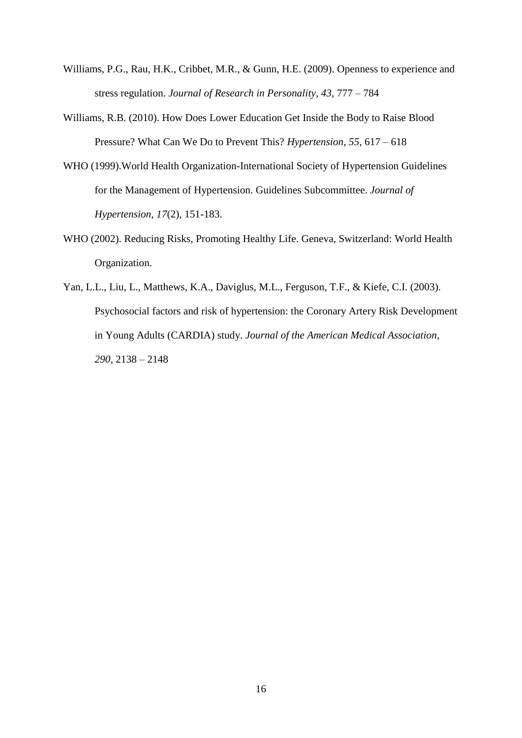- Williams, P.G., Rau, H.K., Cribbet, M.R., & Gunn, H.E. (2009). Openness to experience and stress regulation. *Journal of Research in Personality, 43,* 777 – 784
- Williams, R.B. (2010). How Does Lower Education Get Inside the Body to Raise Blood Pressure? What Can We Do to Prevent This? *Hypertension, 55,* 617 – 618
- WHO (1999).World Health Organization-International Society of Hypertension Guidelines for the Management of Hypertension. Guidelines Subcommittee. *Journal of Hypertension, 17*(2), 151-183.
- WHO (2002). Reducing Risks, Promoting Healthy Life. Geneva, Switzerland: World Health Organization.
- Yan, L.L., Liu, L., Matthews, K.A., Daviglus, M.L., Ferguson, T.F., & Kiefe, C.I. (2003). Psychosocial factors and risk of hypertension: the Coronary Artery Risk Development in Young Adults (CARDIA) study. *Journal of the American Medical Association, 290,* 2138 – 2148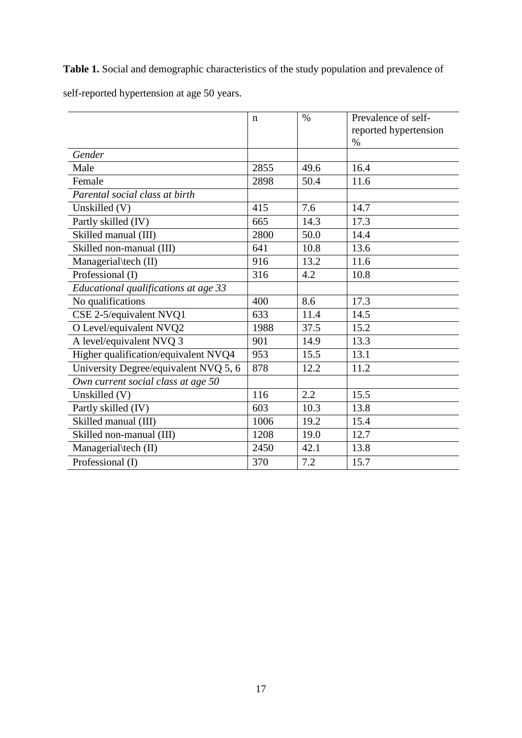**Table 1.** Social and demographic characteristics of the study population and prevalence of

|                                       | $\mathbf n$ | $\%$ | Prevalence of self-<br>reported hypertension<br>$\%$ |
|---------------------------------------|-------------|------|------------------------------------------------------|
| Gender                                |             |      |                                                      |
| Male                                  | 2855        | 49.6 | 16.4                                                 |
| Female                                | 2898        | 50.4 | 11.6                                                 |
| Parental social class at birth        |             |      |                                                      |
| Unskilled (V)                         | 415         | 7.6  | 14.7                                                 |
| Partly skilled (IV)                   | 665         | 14.3 | 17.3                                                 |
| Skilled manual (III)                  | 2800        | 50.0 | 14.4                                                 |
| Skilled non-manual (III)              | 641         | 10.8 | 13.6                                                 |
| Managerial\tech (II)                  | 916         | 13.2 | 11.6                                                 |
| Professional (I)                      | 316         | 4.2  | 10.8                                                 |
| Educational qualifications at age 33  |             |      |                                                      |
| No qualifications                     | 400         | 8.6  | 17.3                                                 |
| CSE 2-5/equivalent NVQ1               | 633         | 11.4 | 14.5                                                 |
| O Level/equivalent NVQ2               | 1988        | 37.5 | 15.2                                                 |
| A level/equivalent NVQ 3              | 901         | 14.9 | 13.3                                                 |
| Higher qualification/equivalent NVQ4  | 953         | 15.5 | 13.1                                                 |
| University Degree/equivalent NVQ 5, 6 | 878         | 12.2 | 11.2                                                 |
| Own current social class at age 50    |             |      |                                                      |
| Unskilled (V)                         | 116         | 2.2  | 15.5                                                 |
| Partly skilled (IV)                   | 603         | 10.3 | 13.8                                                 |
| Skilled manual (III)                  | 1006        | 19.2 | 15.4                                                 |
| Skilled non-manual (III)              | 1208        | 19.0 | 12.7                                                 |
| Managerial\tech (II)                  | 2450        | 42.1 | 13.8                                                 |
| Professional (I)                      | 370         | 7.2  | 15.7                                                 |

self-reported hypertension at age 50 years.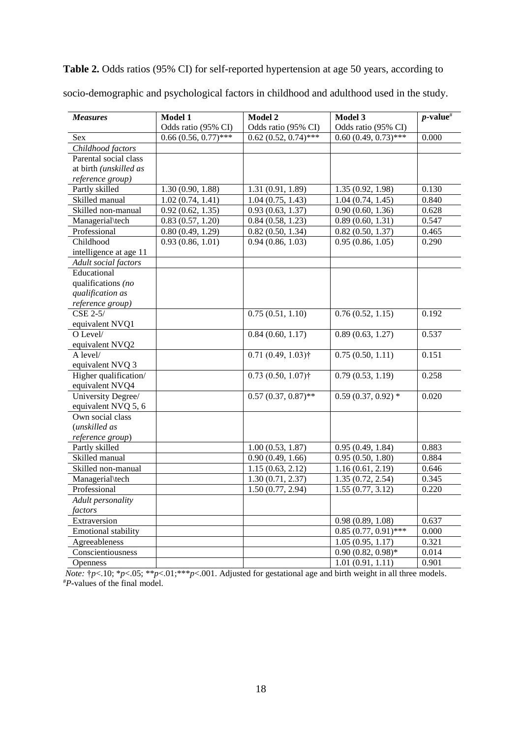**Table 2.** Odds ratios (95% CI) for self-reported hypertension at age 50 years, according to

| <b>Measures</b>            | Model 1                | Model 2                | Model 3                            | $p$ -value <sup>#</sup> |
|----------------------------|------------------------|------------------------|------------------------------------|-------------------------|
|                            | Odds ratio (95% CI)    | Odds ratio (95% CI)    | Odds ratio (95% CI)                |                         |
| Sex                        | $0.66(0.56, 0.77)$ *** | $0.62(0.52, 0.74)$ *** | $0.60(0.49, 0.73)$ ***             | 0.000                   |
| Childhood factors          |                        |                        |                                    |                         |
| Parental social class      |                        |                        |                                    |                         |
| at birth (unskilled as     |                        |                        |                                    |                         |
| reference group)           |                        |                        |                                    |                         |
| Partly skilled             | 1.30(0.90, 1.88)       | 1.31 (0.91, 1.89)      | 1.35(0.92, 1.98)                   | 0.130                   |
| Skilled manual             | 1.02(0.74, 1.41)       | 1.04(0.75, 1.43)       | 1.04(0.74, 1.45)                   | 0.840                   |
| Skilled non-manual         | 0.92(0.62, 1.35)       | 0.93(0.63, 1.37)       | 0.90(0.60, 1.36)                   | 0.628                   |
| Managerial\tech            | 0.83(0.57, 1.20)       | 0.84(0.58, 1.23)       | 0.89(0.60, 1.31)                   | 0.547                   |
| Professional               | 0.80(0.49, 1.29)       | 0.82(0.50, 1.34)       | 0.82(0.50, 1.37)                   | 0.465                   |
| Childhood                  | 0.93(0.86, 1.01)       | 0.94(0.86, 1.03)       | 0.95(0.86, 1.05)                   | 0.290                   |
| intelligence at age 11     |                        |                        |                                    |                         |
| Adult social factors       |                        |                        |                                    |                         |
| Educational                |                        |                        |                                    |                         |
| qualifications (no         |                        |                        |                                    |                         |
| qualification as           |                        |                        |                                    |                         |
| reference group)           |                        |                        |                                    |                         |
| CSE 2-5/                   |                        | 0.75(0.51, 1.10)       | 0.76(0.52, 1.15)                   | 0.192                   |
| equivalent NVQ1            |                        |                        |                                    |                         |
| O Level/                   |                        | 0.84(0.60, 1.17)       | 0.89(0.63, 1.27)                   | 0.537                   |
| equivalent NVQ2            |                        |                        |                                    |                         |
| A level/                   |                        | $0.71(0.49, 1.03)$ †   | 0.75(0.50, 1.11)                   | 0.151                   |
| equivalent NVQ 3           |                        |                        |                                    |                         |
| Higher qualification/      |                        | $0.73(0.50, 1.07)$ †   | 0.79(0.53, 1.19)                   | 0.258                   |
| equivalent NVQ4            |                        |                        |                                    |                         |
| University Degree/         |                        | $0.57(0.37, 0.87)$ **  | $0.59(0.37, 0.92)$ *               | 0.020                   |
| equivalent NVQ 5, 6        |                        |                        |                                    |                         |
| Own social class           |                        |                        |                                    |                         |
| (unskilled as              |                        |                        |                                    |                         |
| reference group)           |                        |                        |                                    |                         |
| Partly skilled             |                        | 1.00(0.53, 1.87)       | 0.95(0.49, 1.84)                   | 0.883                   |
| Skilled manual             |                        | 0.90(0.49, 1.66)       | 0.95(0.50, 1.80)                   | 0.884                   |
| Skilled non-manual         |                        | 1.15(0.63, 2.12)       | 1.16(0.61, 2.19)                   | 0.646                   |
| Managerial\tech            |                        | 1.30(0.71, 2.37)       | 1.35(0.72, 2.54)                   | 0.345                   |
| Professional               |                        | 1.50(0.77, 2.94)       | 1.55(0.77, 3.12)                   | 0.220                   |
| Adult personality          |                        |                        |                                    |                         |
| factors                    |                        |                        |                                    |                         |
| Extraversion               |                        |                        | $\overline{0.98}$ (0.89, 1.08)     | 0.637                   |
| <b>Emotional stability</b> |                        |                        | $0.85(0.77, 0.91)$ ***             | 0.000                   |
| Agreeableness              |                        |                        | 1.05(0.95, 1.17)                   | 0.321                   |
| Conscientiousness          |                        |                        | $\overline{0.90}$ $(0.82, 0.98)$ * | 0.014                   |
| <b>Openness</b>            |                        |                        | 1.01(0.91, 1.11)                   | 0.901                   |

socio-demographic and psychological factors in childhood and adulthood used in the study.

*Note:* †*p*<.10; \**p*<.05; \*\**p*<.01;\*\*\**p*<.001. Adjusted for gestational age and birth weight in all three models. #*P*-values of the final model.